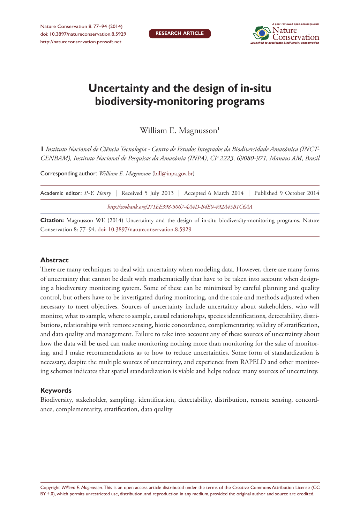

# **Uncertainty and the design of in-situ biodiversity-monitoring programs**

William E. Magnusson<sup>1</sup>

**1** *Instituto Nacional de Ciência Tecnologia - Centro de Estudos Integrados da Biodiversidade Amazônica (INCT-CENBAM), Instituto Nacional de Pesquisas da Amazônia (INPA), CP 2223, 69080-971, Manaus AM, Brasil*

Corresponding author: *William E. Magnusson* ([bill@inpa.gov.br\)](mailto:bill@inpa.gov.br)

|                                                         |  |  | Academic editor: P.-Y. Henry   Received 5 July 2013   Accepted 6 March 2014   Published 9 October 2014 |  |  |  |  |  |  |  |
|---------------------------------------------------------|--|--|--------------------------------------------------------------------------------------------------------|--|--|--|--|--|--|--|
| http://zoobank.org/271EE398-5067-4A4D-B4E0-492A45B1C6AA |  |  |                                                                                                        |  |  |  |  |  |  |  |

**Citation:** Magnusson WE (2014) Uncertainty and the design of in-situ biodiversity-monitoring programs. Nature Conservation 8: 77–94. [doi: 10.3897/natureconservation.8.5929](http://dx.doi.org/10.3897/natureconservation.8.5929)

#### **Abstract**

There are many techniques to deal with uncertainty when modeling data. However, there are many forms of uncertainty that cannot be dealt with mathematically that have to be taken into account when designing a biodiversity monitoring system. Some of these can be minimized by careful planning and quality control, but others have to be investigated during monitoring, and the scale and methods adjusted when necessary to meet objectives. Sources of uncertainty include uncertainty about stakeholders, who will monitor, what to sample, where to sample, causal relationships, species identifications, detectability, distributions, relationships with remote sensing, biotic concordance, complementarity, validity of stratification, and data quality and management. Failure to take into account any of these sources of uncertainty about how the data will be used can make monitoring nothing more than monitoring for the sake of monitoring, and I make recommendations as to how to reduce uncertainties. Some form of standardization is necessary, despite the multiple sources of uncertainty, and experience from RAPELD and other monitoring schemes indicates that spatial standardization is viable and helps reduce many sources of uncertainty.

#### **Keywords**

Biodiversity, stakeholder, sampling, identification, detectability, distribution, remote sensing, concordance, complementarity, stratification, data quality

Copyright *William E. Magnusson.* This is an open access article distributed under the terms of the [Creative Commons Attribution License \(CC](http://creativecommons.org/licenses/by/4.0/)  [BY 4.0\)](http://creativecommons.org/licenses/by/4.0/), which permits unrestricted use, distribution, and reproduction in any medium, provided the original author and source are credited.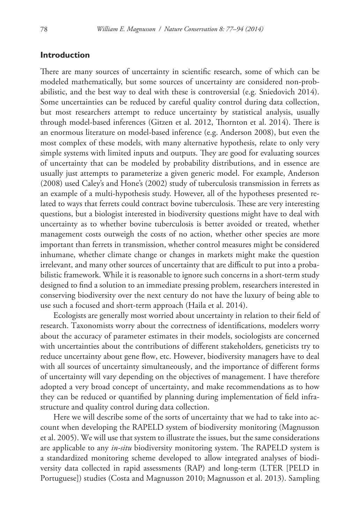# **Introduction**

There are many sources of uncertainty in scientific research, some of which can be modeled mathematically, but some sources of uncertainty are considered non-probabilistic, and the best way to deal with these is controversial (e.g. Sniedovich 2014). Some uncertainties can be reduced by careful quality control during data collection, but most researchers attempt to reduce uncertainty by statistical analysis, usually through model-based inferences (Gitzen et al. 2012, Thornton et al. 2014). There is an enormous literature on model-based inference (e.g. Anderson 2008), but even the most complex of these models, with many alternative hypothesis, relate to only very simple systems with limited inputs and outputs. They are good for evaluating sources of uncertainty that can be modeled by probability distributions, and in essence are usually just attempts to parameterize a given generic model. For example, Anderson (2008) used Caley's and Hone's (2002) study of tuberculosis transmission in ferrets as an example of a multi-hypothesis study. However, all of the hypotheses presented related to ways that ferrets could contract bovine tuberculosis. These are very interesting questions, but a biologist interested in biodiversity questions might have to deal with uncertainty as to whether bovine tuberculosis is better avoided or treated, whether management costs outweigh the costs of no action, whether other species are more important than ferrets in transmission, whether control measures might be considered inhumane, whether climate change or changes in markets might make the question irrelevant, and many other sources of uncertainty that are difficult to put into a probabilistic framework. While it is reasonable to ignore such concerns in a short-term study designed to find a solution to an immediate pressing problem, researchers interested in conserving biodiversity over the next century do not have the luxury of being able to use such a focused and short-term approach (Haila et al. 2014).

Ecologists are generally most worried about uncertainty in relation to their field of research. Taxonomists worry about the correctness of identifications, modelers worry about the accuracy of parameter estimates in their models, sociologists are concerned with uncertainties about the contributions of different stakeholders, geneticists try to reduce uncertainty about gene flow, etc. However, biodiversity managers have to deal with all sources of uncertainty simultaneously, and the importance of different forms of uncertainty will vary depending on the objectives of management. I have therefore adopted a very broad concept of uncertainty, and make recommendations as to how they can be reduced or quantified by planning during implementation of field infrastructure and quality control during data collection.

Here we will describe some of the sorts of uncertainty that we had to take into account when developing the RAPELD system of biodiversity monitoring (Magnusson et al. 2005). We will use that system to illustrate the issues, but the same considerations are applicable to any *in-situ* biodiversity monitoring system. The RAPELD system is a standardized monitoring scheme developed to allow integrated analyses of biodiversity data collected in rapid assessments (RAP) and long-term (LTER [PELD in Portuguese]) studies (Costa and Magnusson 2010; Magnusson et al. 2013). Sampling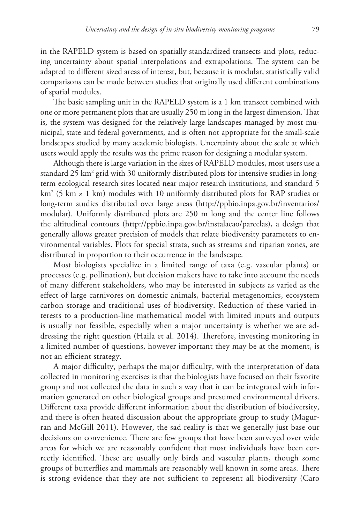in the RAPELD system is based on spatially standardized transects and plots, reducing uncertainty about spatial interpolations and extrapolations. The system can be adapted to different sized areas of interest, but, because it is modular, statistically valid comparisons can be made between studies that originally used different combinations of spatial modules.

The basic sampling unit in the RAPELD system is a 1 km transect combined with one or more permanent plots that are usually 250 m long in the largest dimension. That is, the system was designed for the relatively large landscapes managed by most municipal, state and federal governments, and is often not appropriate for the small-scale landscapes studied by many academic biologists. Uncertainty about the scale at which users would apply the results was the prime reason for designing a modular system.

Although there is large variation in the sizes of RAPELD modules, most users use a standard 25 km² grid with 30 uniformly distributed plots for intensive studies in longterm ecological research sites located near major research institutions, and standard 5 km2 (5 km × 1 km) modules with 10 uniformly distributed plots for RAP studies or long-term studies distributed over large areas ([http://ppbio.inpa.gov.br/inventarios/](http://ppbio.inpa.gov.br/inventarios/modular) [modular](http://ppbio.inpa.gov.br/inventarios/modular)). Uniformly distributed plots are 250 m long and the center line follows the altitudinal contours (<http://ppbio.inpa.gov.br/instalacao/parcelas>), a design that generally allows greater precision of models that relate biodiversity parameters to environmental variables. Plots for special strata, such as streams and riparian zones, are distributed in proportion to their occurrence in the landscape.

Most biologists specialize in a limited range of taxa (e.g. vascular plants) or processes (e.g. pollination), but decision makers have to take into account the needs of many different stakeholders, who may be interested in subjects as varied as the effect of large carnivores on domestic animals, bacterial metagenomics, ecosystem carbon storage and traditional uses of biodiversity. Reduction of these varied interests to a production-line mathematical model with limited inputs and outputs is usually not feasible, especially when a major uncertainty is whether we are addressing the right question (Haila et al. 2014). Therefore, investing monitoring in a limited number of questions, however important they may be at the moment, is not an efficient strategy.

A major difficulty, perhaps the major difficulty, with the interpretation of data collected in monitoring exercises is that the biologists have focused on their favorite group and not collected the data in such a way that it can be integrated with information generated on other biological groups and presumed environmental drivers. Different taxa provide different information about the distribution of biodiversity, and there is often heated discussion about the appropriate group to study (Magurran and McGill 2011). However, the sad reality is that we generally just base our decisions on convenience. There are few groups that have been surveyed over wide areas for which we are reasonably confident that most individuals have been correctly identified. These are usually only birds and vascular plants, though some groups of butterflies and mammals are reasonably well known in some areas. There is strong evidence that they are not sufficient to represent all biodiversity (Caro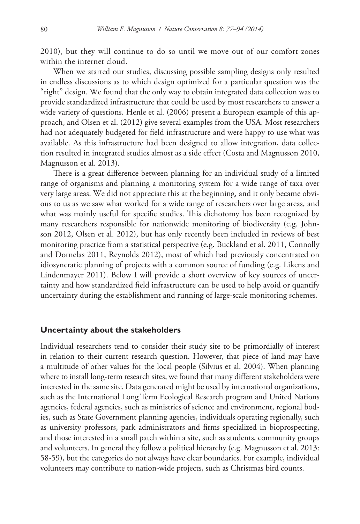2010), but they will continue to do so until we move out of our comfort zones within the internet cloud.

When we started our studies, discussing possible sampling designs only resulted in endless discussions as to which design optimized for a particular question was the "right" design. We found that the only way to obtain integrated data collection was to provide standardized infrastructure that could be used by most researchers to answer a wide variety of questions. Henle et al. (2006) present a European example of this approach, and Olsen et al. (2012) give several examples from the USA. Most researchers had not adequately budgeted for field infrastructure and were happy to use what was available. As this infrastructure had been designed to allow integration, data collection resulted in integrated studies almost as a side effect (Costa and Magnusson 2010, Magnusson et al. 2013).

There is a great difference between planning for an individual study of a limited range of organisms and planning a monitoring system for a wide range of taxa over very large areas. We did not appreciate this at the beginning, and it only became obvious to us as we saw what worked for a wide range of researchers over large areas, and what was mainly useful for specific studies. This dichotomy has been recognized by many researchers responsible for nationwide monitoring of biodiversity (e.g. Johnson 2012, Olsen et al. 2012), but has only recently been included in reviews of best monitoring practice from a statistical perspective (e.g. Buckland et al. 2011, Connolly and Dornelas 2011, Reynolds 2012), most of which had previously concentrated on idiosyncratic planning of projects with a common source of funding (e.g. Likens and Lindenmayer 2011). Below I will provide a short overview of key sources of uncertainty and how standardized field infrastructure can be used to help avoid or quantify uncertainty during the establishment and running of large-scale monitoring schemes.

#### **Uncertainty about the stakeholders**

Individual researchers tend to consider their study site to be primordially of interest in relation to their current research question. However, that piece of land may have a multitude of other values for the local people (Silvius et al. 2004). When planning where to install long-term research sites, we found that many different stakeholders were interested in the same site. Data generated might be used by international organizations, such as the International Long Term Ecological Research program and United Nations agencies, federal agencies, such as ministries of science and environment, regional bodies, such as State Government planning agencies, individuals operating regionally, such as university professors, park administrators and firms specialized in bioprospecting, and those interested in a small patch within a site, such as students, community groups and volunteers. In general they follow a political hierarchy (e.g. Magnusson et al. 2013: 58-59), but the categories do not always have clear boundaries. For example, individual volunteers may contribute to nation-wide projects, such as Christmas bird counts.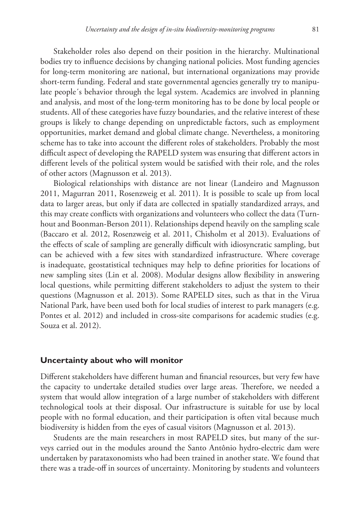Stakeholder roles also depend on their position in the hierarchy. Multinational bodies try to influence decisions by changing national policies. Most funding agencies for long-term monitoring are national, but international organizations may provide short-term funding. Federal and state governmental agencies generally try to manipulate people´s behavior through the legal system. Academics are involved in planning and analysis, and most of the long-term monitoring has to be done by local people or students. All of these categories have fuzzy boundaries, and the relative interest of these groups is likely to change depending on unpredictable factors, such as employment opportunities, market demand and global climate change. Nevertheless, a monitoring scheme has to take into account the different roles of stakeholders. Probably the most difficult aspect of developing the RAPELD system was ensuring that different actors in different levels of the political system would be satisfied with their role, and the roles of other actors (Magnusson et al. 2013).

Biological relationships with distance are not linear (Landeiro and Magnusson 2011, Magurran 2011, Rosenzweig et al. 2011). It is possible to scale up from local data to larger areas, but only if data are collected in spatially standardized arrays, and this may create conflicts with organizations and volunteers who collect the data (Turnhout and Boonman-Berson 2011). Relationships depend heavily on the sampling scale (Baccaro et al. 2012, Rosenzweig et al. 2011, Chisholm et al 2013). Evaluations of the effects of scale of sampling are generally difficult with idiosyncratic sampling, but can be achieved with a few sites with standardized infrastructure. Where coverage is inadequate, geostatistical techniques may help to define priorities for locations of new sampling sites (Lin et al. 2008). Modular designs allow flexibility in answering local questions, while permitting different stakeholders to adjust the system to their questions (Magnusson et al. 2013). Some RAPELD sites, such as that in the Virua National Park, have been used both for local studies of interest to park managers (e.g. Pontes et al. 2012) and included in cross-site comparisons for academic studies (e.g. Souza et al. 2012).

# **Uncertainty about who will monitor**

Different stakeholders have different human and financial resources, but very few have the capacity to undertake detailed studies over large areas. Therefore, we needed a system that would allow integration of a large number of stakeholders with different technological tools at their disposal. Our infrastructure is suitable for use by local people with no formal education, and their participation is often vital because much biodiversity is hidden from the eyes of casual visitors (Magnusson et al. 2013).

Students are the main researchers in most RAPELD sites, but many of the surveys carried out in the modules around the Santo Antônio hydro-electric dam were undertaken by parataxonomists who had been trained in another state. We found that there was a trade-off in sources of uncertainty. Monitoring by students and volunteers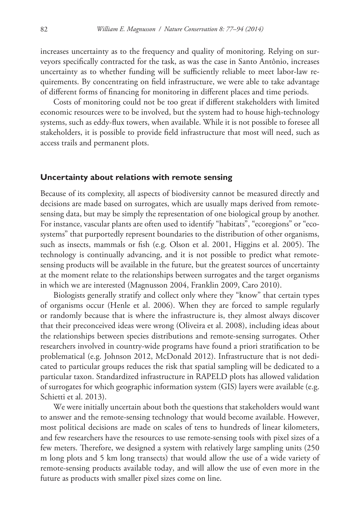increases uncertainty as to the frequency and quality of monitoring. Relying on surveyors specifically contracted for the task, as was the case in Santo Antônio, increases uncertainty as to whether funding will be sufficiently reliable to meet labor-law requirements. By concentrating on field infrastructure, we were able to take advantage of different forms of financing for monitoring in different places and time periods.

Costs of monitoring could not be too great if different stakeholders with limited economic resources were to be involved, but the system had to house high-technology systems, such as eddy-flux towers, when available. While it is not possible to foresee all stakeholders, it is possible to provide field infrastructure that most will need, such as access trails and permanent plots.

# **Uncertainty about relations with remote sensing**

Because of its complexity, all aspects of biodiversity cannot be measured directly and decisions are made based on surrogates, which are usually maps derived from remotesensing data, but may be simply the representation of one biological group by another. For instance, vascular plants are often used to identify "habitats", "ecoregions" or "ecosystems" that purportedly represent boundaries to the distribution of other organisms, such as insects, mammals or fish (e.g. Olson et al. 2001, Higgins et al. 2005). The technology is continually advancing, and it is not possible to predict what remotesensing products will be available in the future, but the greatest sources of uncertainty at the moment relate to the relationships between surrogates and the target organisms in which we are interested (Magnusson 2004, Franklin 2009, Caro 2010).

Biologists generally stratify and collect only where they "know" that certain types of organisms occur (Henle et al. 2006). When they are forced to sample regularly or randomly because that is where the infrastructure is, they almost always discover that their preconceived ideas were wrong (Oliveira et al. 2008), including ideas about the relationships between species distributions and remote-sensing surrogates. Other researchers involved in country-wide programs have found a priori stratification to be problematical (e.g. Johnson 2012, McDonald 2012). Infrastructure that is not dedicated to particular groups reduces the risk that spatial sampling will be dedicated to a particular taxon. Standardized infrastructure in RAPELD plots has allowed validation of surrogates for which geographic information system (GIS) layers were available (e.g. Schietti et al. 2013).

We were initially uncertain about both the questions that stakeholders would want to answer and the remote-sensing technology that would become available. However, most political decisions are made on scales of tens to hundreds of linear kilometers, and few researchers have the resources to use remote-sensing tools with pixel sizes of a few meters. Therefore, we designed a system with relatively large sampling units (250 m long plots and 5 km long transects) that would allow the use of a wide variety of remote-sensing products available today, and will allow the use of even more in the future as products with smaller pixel sizes come on line.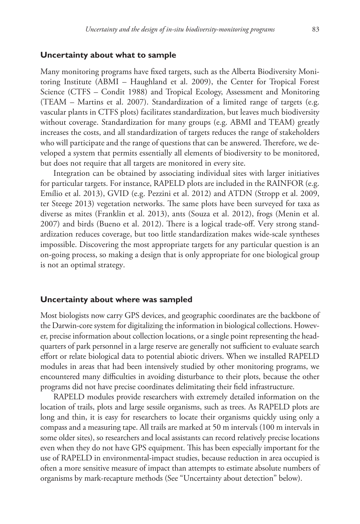#### **Uncertainty about what to sample**

Many monitoring programs have fixed targets, such as the Alberta Biodiversity Monitoring Institute (ABMI – Haughland et al. 2009), the Center for Tropical Forest Science (CTFS – Condit 1988) and Tropical Ecology, Assessment and Monitoring (TEAM – Martins et al. 2007). Standardization of a limited range of targets (e.g. vascular plants in CTFS plots) facilitates standardization, but leaves much biodiversity without coverage. Standardization for many groups (e.g. ABMI and TEAM) greatly increases the costs, and all standardization of targets reduces the range of stakeholders who will participate and the range of questions that can be answered. Therefore, we developed a system that permits essentially all elements of biodiversity to be monitored, but does not require that all targets are monitored in every site.

Integration can be obtained by associating individual sites with larger initiatives for particular targets. For instance, RAPELD plots are included in the RAINFOR (e.g. Emílio et al. 2013), GVID (e.g. Pezzini et al. 2012) and ATDN (Stropp et al. 2009, ter Steege 2013) vegetation networks. The same plots have been surveyed for taxa as diverse as mites (Franklin et al. 2013), ants (Souza et al. 2012), frogs (Menin et al. 2007) and birds (Bueno et al. 2012). There is a logical trade-off. Very strong standardization reduces coverage, but too little standardization makes wide-scale syntheses impossible. Discovering the most appropriate targets for any particular question is an on-going process, so making a design that is only appropriate for one biological group is not an optimal strategy.

#### **Uncertainty about where was sampled**

Most biologists now carry GPS devices, and geographic coordinates are the backbone of the Darwin-core system for digitalizing the information in biological collections. However, precise information about collection locations, or a single point representing the headquarters of park personnel in a large reserve are generally not sufficient to evaluate search effort or relate biological data to potential abiotic drivers. When we installed RAPELD modules in areas that had been intensively studied by other monitoring programs, we encountered many difficulties in avoiding disturbance to their plots, because the other programs did not have precise coordinates delimitating their field infrastructure.

RAPELD modules provide researchers with extremely detailed information on the location of trails, plots and large sessile organisms, such as trees. As RAPELD plots are long and thin, it is easy for researchers to locate their organisms quickly using only a compass and a measuring tape. All trails are marked at 50 m intervals (100 m intervals in some older sites), so researchers and local assistants can record relatively precise locations even when they do not have GPS equipment. This has been especially important for the use of RAPELD in environmental-impact studies, because reduction in area occupied is often a more sensitive measure of impact than attempts to estimate absolute numbers of organisms by mark-recapture methods (See "Uncertainty about detection" below).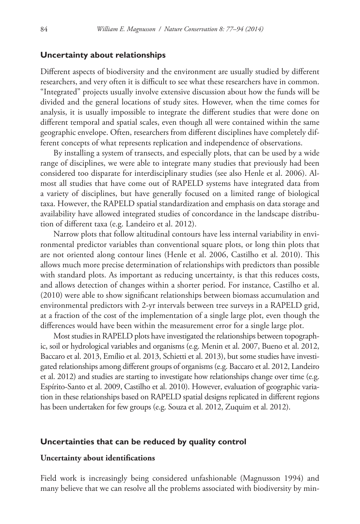## **Uncertainty about relationships**

Different aspects of biodiversity and the environment are usually studied by different researchers, and very often it is difficult to see what these researchers have in common. "Integrated" projects usually involve extensive discussion about how the funds will be divided and the general locations of study sites. However, when the time comes for analysis, it is usually impossible to integrate the different studies that were done on different temporal and spatial scales, even though all were contained within the same geographic envelope. Often, researchers from different disciplines have completely different concepts of what represents replication and independence of observations.

By installing a system of transects, and especially plots, that can be used by a wide range of disciplines, we were able to integrate many studies that previously had been considered too disparate for interdisciplinary studies (see also Henle et al. 2006). Almost all studies that have come out of RAPELD systems have integrated data from a variety of disciplines, but have generally focused on a limited range of biological taxa. However, the RAPELD spatial standardization and emphasis on data storage and availability have allowed integrated studies of concordance in the landscape distribution of different taxa (e.g. Landeiro et al. 2012).

Narrow plots that follow altitudinal contours have less internal variability in environmental predictor variables than conventional square plots, or long thin plots that are not oriented along contour lines (Henle et al. 2006, Castilho et al. 2010). This allows much more precise determination of relationships with predictors than possible with standard plots. As important as reducing uncertainty, is that this reduces costs, and allows detection of changes within a shorter period. For instance, Castilho et al. (2010) were able to show significant relationships between biomass accumulation and environmental predictors with 2-yr intervals between tree surveys in a RAPELD grid, at a fraction of the cost of the implementation of a single large plot, even though the differences would have been within the measurement error for a single large plot.

Most studies in RAPELD plots have investigated the relationships between topographic, soil or hydrological variables and organisms (e.g. Menin et al. 2007, Bueno et al. 2012, Baccaro et al. 2013, Emílio et al. 2013, Schietti et al. 2013), but some studies have investigated relationships among different groups of organisms (e.g. Baccaro et al. 2012, Landeiro et al. 2012) and studies are starting to investigate how relationships change over time (e.g. Espírito-Santo et al. 2009, Castilho et al. 2010). However, evaluation of geographic variation in these relationships based on RAPELD spatial designs replicated in different regions has been undertaken for few groups (e.g. Souza et al. 2012, Zuquim et al. 2012).

#### **Uncertainties that can be reduced by quality control**

## **Uncertainty about identifications**

Field work is increasingly being considered unfashionable (Magnusson 1994) and many believe that we can resolve all the problems associated with biodiversity by min-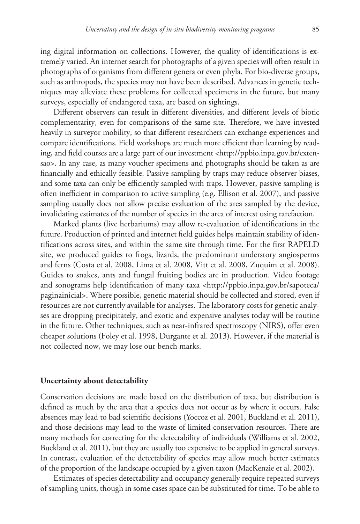ing digital information on collections. However, the quality of identifications is extremely varied. An internet search for photographs of a given species will often result in photographs of organisms from different genera or even phyla. For bio-diverse groups, such as arthropods, the species may not have been described. Advances in genetic techniques may alleviate these problems for collected specimens in the future, but many surveys, especially of endangered taxa, are based on sightings.

Different observers can result in different diversities, and different levels of biotic complementarity, even for comparisons of the same site. Therefore, we have invested heavily in surveyor mobility, so that different researchers can exchange experiences and compare identifications. Field workshops are much more efficient than learning by reading, and field courses are a large part of our investment [<http://ppbio.inpa.gov.br/exten](http://ppbio.inpa.gov.br/extensao)[sao](http://ppbio.inpa.gov.br/extensao)>. In any case, as many voucher specimens and photographs should be taken as are financially and ethically feasible. Passive sampling by traps may reduce observer biases, and some taxa can only be efficiently sampled with traps. However, passive sampling is often inefficient in comparison to active sampling (e.g. Ellison et al. 2007), and passive sampling usually does not allow precise evaluation of the area sampled by the device, invalidating estimates of the number of species in the area of interest using rarefaction.

Marked plants (live herbariums) may allow re-evaluation of identifications in the future. Production of printed and internet field guides helps maintain stability of identifications across sites, and within the same site through time. For the first RAPELD site, we produced guides to frogs, lizards, the predominant understory angiosperms and ferns (Costa et al. 2008, Lima et al. 2008, Vitt et al. 2008, Zuquim et al. 2008). Guides to snakes, ants and fungal fruiting bodies are in production. Video footage and sonograms help identification of many taxa <[http://ppbio.inpa.gov.br/sapoteca/](http://ppbio.inpa.gov.br/sapoteca/paginainicial) [paginainicial](http://ppbio.inpa.gov.br/sapoteca/paginainicial)>. Where possible, genetic material should be collected and stored, even if resources are not currently available for analyses. The laboratory costs for genetic analyses are dropping precipitately, and exotic and expensive analyses today will be routine in the future. Other techniques, such as near-infrared spectroscopy (NIRS), offer even cheaper solutions (Foley et al. 1998, Durgante et al. 2013). However, if the material is not collected now, we may lose our bench marks.

#### **Uncertainty about detectability**

Conservation decisions are made based on the distribution of taxa, but distribution is defined as much by the area that a species does not occur as by where it occurs. False absences may lead to bad scientific decisions (Yoccoz et al. 2001, Buckland et al. 2011), and those decisions may lead to the waste of limited conservation resources. There are many methods for correcting for the detectability of individuals (Williams et al. 2002, Buckland et al. 2011), but they are usually too expensive to be applied in general surveys. In contrast, evaluation of the detectability of species may allow much better estimates of the proportion of the landscape occupied by a given taxon (MacKenzie et al. 2002).

Estimates of species detectability and occupancy generally require repeated surveys of sampling units, though in some cases space can be substituted for time. To be able to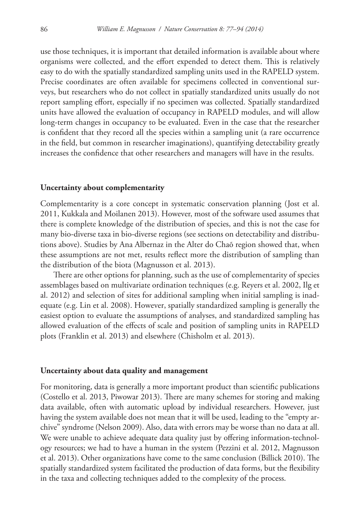use those techniques, it is important that detailed information is available about where organisms were collected, and the effort expended to detect them. This is relatively easy to do with the spatially standardized sampling units used in the RAPELD system. Precise coordinates are often available for specimens collected in conventional surveys, but researchers who do not collect in spatially standardized units usually do not report sampling effort, especially if no specimen was collected. Spatially standardized units have allowed the evaluation of occupancy in RAPELD modules, and will allow long-term changes in occupancy to be evaluated. Even in the case that the researcher is confident that they record all the species within a sampling unit (a rare occurrence in the field, but common in researcher imaginations), quantifying detectability greatly increases the confidence that other researchers and managers will have in the results.

#### **Uncertainty about complementarity**

Complementarity is a core concept in systematic conservation planning (Jost et al. 2011, Kukkala and Moilanen 2013). However, most of the software used assumes that there is complete knowledge of the distribution of species, and this is not the case for many bio-diverse taxa in bio-diverse regions (see sections on detectability and distributions above). Studies by Ana Albernaz in the Alter do Chaõ region showed that, when these assumptions are not met, results reflect more the distribution of sampling than the distribution of the biota (Magnusson et al. 2013).

There are other options for planning, such as the use of complementarity of species assemblages based on multivariate ordination techniques (e.g. Reyers et al. 2002, Ilg et al. 2012) and selection of sites for additional sampling when initial sampling is inadequate (e.g. Lin et al. 2008). However, spatially standardized sampling is generally the easiest option to evaluate the assumptions of analyses, and standardized sampling has allowed evaluation of the effects of scale and position of sampling units in RAPELD plots (Franklin et al. 2013) and elsewhere (Chisholm et al. 2013).

#### **Uncertainty about data quality and management**

For monitoring, data is generally a more important product than scientific publications (Costello et al. 2013, Piwowar 2013). There are many schemes for storing and making data available, often with automatic upload by individual researchers. However, just having the system available does not mean that it will be used, leading to the "empty archive" syndrome (Nelson 2009). Also, data with errors may be worse than no data at all. We were unable to achieve adequate data quality just by offering information-technology resources; we had to have a human in the system (Pezzini et al. 2012, Magnusson et al. 2013). Other organizations have come to the same conclusion (Billick 2010). The spatially standardized system facilitated the production of data forms, but the flexibility in the taxa and collecting techniques added to the complexity of the process.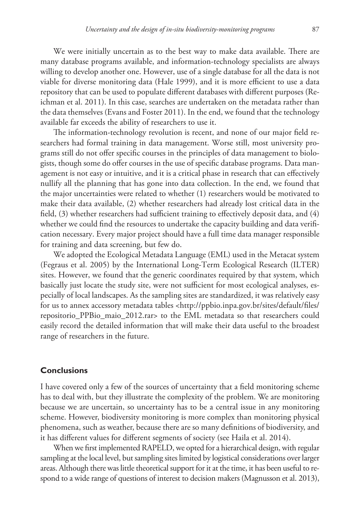We were initially uncertain as to the best way to make data available. There are many database programs available, and information-technology specialists are always willing to develop another one. However, use of a single database for all the data is not viable for diverse monitoring data (Hale 1999), and it is more efficient to use a data repository that can be used to populate different databases with different purposes (Reichman et al. 2011). In this case, searches are undertaken on the metadata rather than the data themselves (Evans and Foster 2011). In the end, we found that the technology available far exceeds the ability of researchers to use it.

The information-technology revolution is recent, and none of our major field researchers had formal training in data management. Worse still, most university programs still do not offer specific courses in the principles of data management to biologists, though some do offer courses in the use of specific database programs. Data management is not easy or intuitive, and it is a critical phase in research that can effectively nullify all the planning that has gone into data collection. In the end, we found that the major uncertainties were related to whether (1) researchers would be motivated to make their data available, (2) whether researchers had already lost critical data in the field, (3) whether researchers had sufficient training to effectively deposit data, and (4) whether we could find the resources to undertake the capacity building and data verification necessary. Every major project should have a full time data manager responsible for training and data screening, but few do.

We adopted the Ecological Metadata Language (EML) used in the Metacat system (Fegraus et al. 2005) by the International Long-Term Ecological Research (ILTER) sites. However, we found that the generic coordinates required by that system, which basically just locate the study site, were not sufficient for most ecological analyses, especially of local landscapes. As the sampling sites are standardized, it was relatively easy for us to annex accessory metadata tables <[http://ppbio.inpa.gov.br/sites/default/files/](http://ppbio.inpa.gov.br/sites/default/files/repositorio_PPBio_maio_2012.rar) [repositorio\\_PPBio\\_maio\\_2012.rar](http://ppbio.inpa.gov.br/sites/default/files/repositorio_PPBio_maio_2012.rar)> to the EML metadata so that researchers could easily record the detailed information that will make their data useful to the broadest range of researchers in the future.

# **Conclusions**

I have covered only a few of the sources of uncertainty that a field monitoring scheme has to deal with, but they illustrate the complexity of the problem. We are monitoring because we are uncertain, so uncertainty has to be a central issue in any monitoring scheme. However, biodiversity monitoring is more complex than monitoring physical phenomena, such as weather, because there are so many definitions of biodiversity, and it has different values for different segments of society (see Haila et al. 2014).

When we first implemented RAPELD, we opted for a hierarchical design, with regular sampling at the local level, but sampling sites limited by logistical considerations over larger areas. Although there was little theoretical support for it at the time, it has been useful to respond to a wide range of questions of interest to decision makers (Magnusson et al. 2013),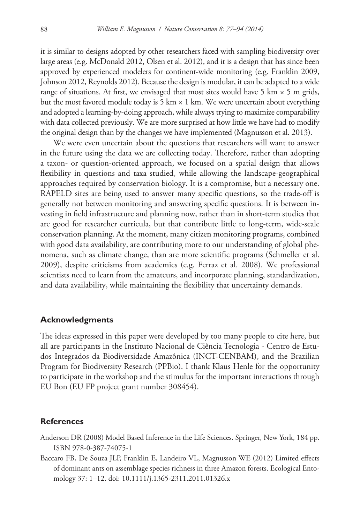it is similar to designs adopted by other researchers faced with sampling biodiversity over large areas (e.g. McDonald 2012, Olsen et al. 2012), and it is a design that has since been approved by experienced modelers for continent-wide monitoring (e.g. Franklin 2009, Johnson 2012, Reynolds 2012). Because the design is modular, it can be adapted to a wide range of situations. At first, we envisaged that most sites would have 5 km  $\times$  5 m grids, but the most favored module today is 5 km  $\times$  1 km. We were uncertain about everything and adopted a learning-by-doing approach, while always trying to maximize comparability with data collected previously. We are more surprised at how little we have had to modify the original design than by the changes we have implemented (Magnusson et al. 2013).

We were even uncertain about the questions that researchers will want to answer in the future using the data we are collecting today. Therefore, rather than adopting a taxon- or question-oriented approach, we focused on a spatial design that allows flexibility in questions and taxa studied, while allowing the landscape-geographical approaches required by conservation biology. It is a compromise, but a necessary one. RAPELD sites are being used to answer many specific questions, so the trade-off is generally not between monitoring and answering specific questions. It is between investing in field infrastructure and planning now, rather than in short-term studies that are good for researcher curricula, but that contribute little to long-term, wide-scale conservation planning. At the moment, many citizen monitoring programs, combined with good data availability, are contributing more to our understanding of global phenomena, such as climate change, than are more scientific programs (Schmeller et al. 2009), despite criticisms from academics (e.g. Ferraz et al. 2008). We professional scientists need to learn from the amateurs, and incorporate planning, standardization, and data availability, while maintaining the flexibility that uncertainty demands.

## **Acknowledgments**

The ideas expressed in this paper were developed by too many people to cite here, but all are participants in the Instituto Nacional de Ciência Tecnologia - Centro de Estudos Integrados da Biodiversidade Amazônica (INCT-CENBAM), and the Brazilian Program for Biodiversity Research (PPBio). I thank Klaus Henle for the opportunity to participate in the workshop and the stimulus for the important interactions through EU Bon (EU FP project grant number 308454).

# **References**

- Anderson DR (2008) Model Based Inference in the Life Sciences. Springer, New York, 184 pp. ISBN 978-0-387-74075-1
- Baccaro FB, De Souza JLP, Franklin E, Landeiro VL, Magnusson WE (2012) Limited effects of dominant ants on assemblage species richness in three Amazon forests. Ecological Entomology 37: 1–12. [doi: 10.1111/j.1365-2311.2011.01326.x](http://dx.doi.org/10.1111/j.1365-2311.2011.01326.x)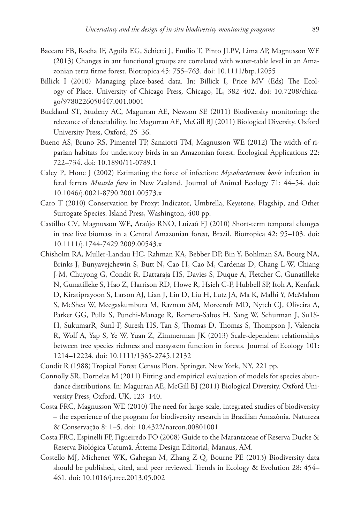- Baccaro FB, Rocha IF, Aguila EG, Schietti J, Emílio T, Pinto JLPV, Lima AP, Magnusson WE (2013) Changes in ant functional groups are correlated with water-table level in an Amazonian terra firme forest. Biotropica 45: 755–763. [doi: 10.1111/btp.12055](http://dx.doi.org/10.1111/btp.12055)
- Billick I (2010) Managing place-based data. In: Billick I, Price MV (Eds) The Ecology of Place. University of Chicago Press, Chicago, IL, 382–402. [doi: 10.7208/chica](http://dx.doi.org/10.7208/chicago/9780226050447.001.0001)[go/9780226050447.001.0001](http://dx.doi.org/10.7208/chicago/9780226050447.001.0001)
- Buckland ST, Studeny AC, Magurran AE, Newson SE (2011) Biodiversity monitoring: the relevance of detectability. In: Magurran AE, McGill BJ (2011) Biological Diversity. Oxford University Press, Oxford, 25–36.
- Bueno AS, Bruno RS, Pimentel TP, Sanaiotti TM, Magnusson WE (2012) The width of riparian habitats for understory birds in an Amazonian forest. Ecological Applications 22: 722–734. [doi: 10.1890/11-0789.1](http://dx.doi.org/10.1890/11-0789.1)
- Caley P, Hone J (2002) Estimating the force of infection: *Mycobacterium bovis* infection in feral ferrets *Mustela furo* in New Zealand. Journal of Animal Ecology 71: 44–54. [doi:](http://dx.doi.org/10.1046/j.0021-8790.2001.00573.x) [10.1046/j.0021-8790.2001.00573.x](http://dx.doi.org/10.1046/j.0021-8790.2001.00573.x)
- Caro T (2010) Conservation by Proxy: Indicator, Umbrella, Keystone, Flagship, and Other Surrogate Species. Island Press, Washington, 400 pp.
- Castilho CV, Magnusson WE, Araújo RNO, Luizaõ FJ (2010) Short-term temporal changes in tree live biomass in a Central Amazonian forest, Brazil. Biotropica 42: 95–103. [doi:](http://dx.doi.org/10.1111/j.1744-7429.2009.00543.x) [10.1111/j.1744-7429.2009.00543.x](http://dx.doi.org/10.1111/j.1744-7429.2009.00543.x)
- Chisholm RA, Muller-Landau HC, Rahman KA, Bebber DP, Bin Y, Bohlman SA, Bourg NA, Brinks J, Bunyavejchewin S, Butt N, Cao H, Cao M, Cardenas D, Chang L-W, Chiang J-M, Chuyong G, Condit R, Dattaraja HS, Davies S, Duque A, Fletcher C, Gunatilleke N, Gunatilleke S, Hao Z, Harrison RD, Howe R, Hsieh C-F, Hubbell SP, Itoh A, Kenfack D, Kiratiprayoon S, Larson AJ, Lian J, Lin D, Liu H, Lutz JA, Ma K, Malhi Y, McMahon S, McShea W, Meegaskumbura M, Razman SM, Morecroft MD, Nytch CJ, Oliveira A, Parker GG, Pulla S, Punchi-Manage R, Romero-Saltos H, Sang W, Schurman J, Su1S-H, SukumarR, SunI-F, Suresh HS, Tan S, Thomas D, Thomas S, Thompson J, Valencia R, Wolf A, Yap S, Ye W, Yuan Z, Zimmerman JK (2013) Scale-dependent relationships between tree species richness and ecosystem function in forests. Journal of Ecology 101: 1214–12224. [doi: 10.1111/1365-2745.12132](http://dx.doi.org/10.1111/1365-2745.12132)
- Condit R (1988) Tropical Forest Census Plots. Springer, New York, NY, 221 pp.
- Connolly SR, Dornelas M (2011) Fitting and empirical evaluation of models for species abundance distributions. In: Magurran AE, McGill BJ (2011) Biological Diversity. Oxford University Press, Oxford, UK, 123–140.
- Costa FRC, Magnusson WE (2010) The need for large-scale, integrated studies of biodiversity – the experience of the program for biodiversity research in Brazilian Amazônia. Natureza & Conservação 8: 1–5. [doi: 10.4322/natcon.00801001](http://dx.doi.org/10.4322/natcon.00801001)
- Costa FRC, Espinelli FP, Figueiredo FO (2008) Guide to the Marantaceae of Reserva Ducke & Reserva Biológica Uatumã. Áttema Design Editorial, Manaus, AM.
- Costello MJ, Michener WK, Gahegan M, Zhang Z-Q, Bourne PE (2013) Biodiversity data should be published, cited, and peer reviewed. Trends in Ecology & Evolution 28: 454– 461. [doi: 10.1016/j.tree.2013.05.002](http://dx.doi.org/10.1016/j.tree.2013.05.002)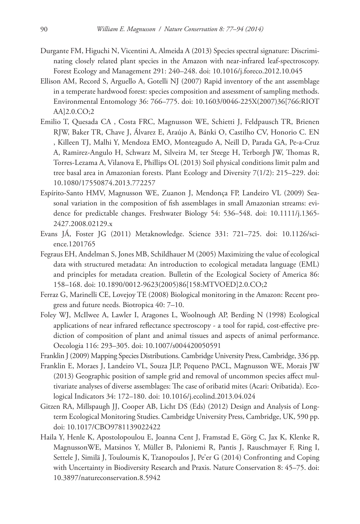- Durgante FM, Higuchi N, Vicentini A, Almeida A (2013) Species spectral signature: Discriminating closely related plant species in the Amazon with near-infrared leaf-spectroscopy. Forest Ecology and Management 291: 240–248. [doi: 10.1016/j.foreco.2012.10.045](http://dx.doi.org/10.1016/j.foreco.2012.10.045)
- Ellison AM, Record S, Arguello A, Gotelli NJ (2007) Rapid inventory of the ant assemblage in a temperate hardwood forest: species composition and assessment of sampling methods. Environmental Entomology 36: 766–775. [doi: 10.1603/0046-225X\(2007\)36\[766:RIOT](http://dx.doi.org/10.1603/0046-225X(2007)36%5B766:RIOTAA%5D2.0.CO;2) [AA\]2.0.CO;2](http://dx.doi.org/10.1603/0046-225X(2007)36%5B766:RIOTAA%5D2.0.CO;2)
- Emilio T, Quesada CA , Costa FRC, Magnusson WE, Schietti J, Feldpausch TR, Brienen RJW, Baker TR, Chave J, Álvarez E, Araújo A, Bánki O, Castilho CV, Honorio C. EN , Killeen TJ, Malhi Y, Mendoza EMO, Monteagudo A, Neill D, Parada GA, Pe-a-Cruz A, Ramirez-Angulo H, Schwarz M, Silveira M, ter Steege H, Terborgh JW, Thomas R, Torres-Lezama A, Vilanova E, Phillips OL (2013) Soil physical conditions limit palm and tree basal area in Amazonian forests. Plant Ecology and Diversity 7(1/2): 215–229. [doi:](http://dx.doi.org/10.1080/17550874.2013.772257) [10.1080/17550874.2013.772257](http://dx.doi.org/10.1080/17550874.2013.772257)
- Espírito-Santo HMV, Magnusson WE, Zuanon J, Mendonça FP, Landeiro VL (2009) Seasonal variation in the composition of fish assemblages in small Amazonian streams: evidence for predictable changes. Freshwater Biology 54: 536–548. [doi: 10.1111/j.1365-](http://dx.doi.org/10.1111/j.1365-2427.2008.02129.x) [2427.2008.02129.x](http://dx.doi.org/10.1111/j.1365-2427.2008.02129.x)
- Evans JÁ, Foster JG (2011) Metaknowledge. Science 331: 721–725. [doi: 10.1126/sci](http://dx.doi.org/10.1126/science.1201765)[ence.1201765](http://dx.doi.org/10.1126/science.1201765)
- Fegraus EH, Andelman S, Jones MB, Schildhauer M (2005) Maximizing the value of ecological data with structured metadata: An introduction to ecological metadata language (EML) and principles for metadata creation. Bulletin of the Ecological Society of America 86: 158–168. [doi: 10.1890/0012-9623\(2005\)86\[158:MTVOED\]2.0.CO;2](http://dx.doi.org/10.1890/0012-9623(2005)86%5B158:MTVOED%5D2.0.CO;2)
- Ferraz G, Marinelli CE, Lovejoy TE (2008) Biological monitoring in the Amazon: Recent progress and future needs. Biotropica 40: 7–10.
- Foley WJ, McIlwee A, Lawler I, Aragones L, Woolnough AP, Berding N (1998) Ecological applications of near infrared reflectance spectroscopy - a tool for rapid, cost-effective prediction of composition of plant and animal tissues and aspects of animal performance. Oecologia 116: 293–305. [doi: 10.1007/s004420050591](http://dx.doi.org/10.1007/s004420050591)
- Franklin J (2009) Mapping Species Distributions. Cambridge University Press, Cambridge, 336 pp.
- Franklin E, Moraes J, Landeiro VL, Souza JLP, Pequeno PACL, Magnusson WE, Morais JW (2013) Geographic position of sample grid and removal of uncommon species affect multivariate analyses of diverse assemblages: The case of oribatid mites (Acari: Oribatida). Ecological Indicators 34: 172–180. [doi: 10.1016/j.ecolind.2013.04.024](http://dx.doi.org/10.1016/j.ecolind.2013.04.024)
- Gitzen RA, Millspaugh JJ, Cooper AB, Licht DS (Eds) (2012) Design and Analysis of Longterm Ecological Monitoring Studies. Cambridge University Press, Cambridge, UK, 590 pp. [doi: 10.1017/CBO9781139022422](http://dx.doi.org/10.1017/CBO9781139022422)
- Haila Y, Henle K, Apostolopoulou E, Joanna Cent J, Framstad E, Görg C, Jax K, Klenke R, MagnussonWE, Matsinos Y, Müller B, Paloniemi R, Pantis J, Rauschmayer F, Ring I, Settele J, Similä J, Touloumis K, Tzanopoulos J, Pe'er G (2014) Confronting and Coping with Uncertainty in Biodiversity Research and Praxis. Nature Conservation 8: 45–75. [doi:](http://dx.doi.org/10.3897/natureconservation.8.5942) [10.3897/natureconservation.8.5942](http://dx.doi.org/10.3897/natureconservation.8.5942)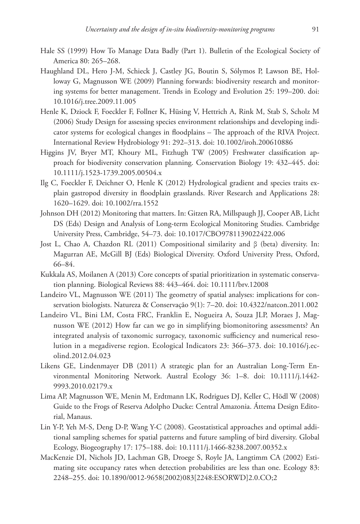- Hale SS (1999) How To Manage Data Badly (Part 1). Bulletin of the Ecological Society of America 80: 265–268.
- Haughland DL, Hero J-M, Schieck J, Castley JG, Boutin S, Sólymos P, Lawson BE, Holloway G, Magnusson WE (2009) Planning forwards: biodiversity research and monitoring systems for better management. Trends in Ecology and Evolution 25: 199–200. [doi:](http://dx.doi.org/10.1016/j.tree.2009.11.005) [10.1016/j.tree.2009.11.005](http://dx.doi.org/10.1016/j.tree.2009.11.005)
- Henle K, Dziock F, Foeckler F, Follner K, Hüsing V, Hettrich A, Rink M, Stab S, Scholz M (2006) Study Design for assessing species environment relationships and developing indicator systems for ecological changes in floodplains – The approach of the RIVA Project. International Review Hydrobiology 91: 292–313. [doi: 10.1002/iroh.200610886](http://dx.doi.org/10.1002/iroh.200610886)
- Higgins JV, Bryer MT, Khoury ML, Fitzhugh TW (2005) Freshwater classification approach for biodiversity conservation planning. Conservation Biology 19: 432–445. [doi:](http://dx.doi.org/10.1111/j.1523-1739.2005.00504.x) [10.1111/j.1523-1739.2005.00504.x](http://dx.doi.org/10.1111/j.1523-1739.2005.00504.x)
- Ilg C, Foeckler F, Deichner O, Henle K (2012) Hydrological gradient and species traits explain gastropod diversity in floodplain grasslands. River Research and Applications 28: 1620–1629. [doi: 10.1002/rra.1552](http://dx.doi.org/10.1002/rra.1552)
- Johnson DH (2012) Monitoring that matters. In: Gitzen RA, Millspaugh JJ, Cooper AB, Licht DS (Eds) Design and Analysis of Long-term Ecological Monitoring Studies. Cambridge University Press, Cambridge, 54–73. [doi: 10.1017/CBO9781139022422.006](http://dx.doi.org/10.1017/CBO9781139022422.006)
- Jost L, Chao A, Chazdon RL (2011) Compositional similarity and β (beta) diversity. In: Magurran AE, McGill BJ (Eds) Biological Diversity. Oxford University Press, Oxford, 66–84.
- Kukkala AS, Moilanen A (2013) Core concepts of spatial prioritization in systematic conservation planning. Biological Reviews 88: 443–464. [doi: 10.1111/brv.12008](http://dx.doi.org/10.1111/brv.12008)
- Landeiro VL, Magnusson WE (2011) The geometry of spatial analyses: implications for conservation biologists. Natureza & Conservação 9(1): 7–20. [doi: 10.4322/natcon.2011.002](http://dx.doi.org/10.4322/natcon.2011.002)
- Landeiro VL, Bini LM, Costa FRC, Franklin E, Nogueira A, Souza JLP, Moraes J, Magnusson WE (2012) How far can we go in simplifying biomonitoring assessments? An integrated analysis of taxonomic surrogacy, taxonomic sufficiency and numerical resolution in a megadiverse region. Ecological Indicators 23: 366–373. [doi: 10.1016/j.ec](http://dx.doi.org/10.1016/j.ecolind.2012.04.023)[olind.2012.04.023](http://dx.doi.org/10.1016/j.ecolind.2012.04.023)
- Likens GE, Lindenmayer DB (2011) A strategic plan for an Australian Long-Term Environmental Monitoring Network. Austral Ecology 36: 1–8. [doi: 10.1111/j.1442-](http://dx.doi.org/10.1111/j.1442-9993.2010.02179.x) [9993.2010.02179.x](http://dx.doi.org/10.1111/j.1442-9993.2010.02179.x)
- Lima AP, Magnusson WE, Menin M, Erdtmann LK, Rodrigues DJ, Keller C, Hödl W (2008) Guide to the Frogs of Reserva Adolpho Ducke: Central Amazonia. Áttema Design Editorial, Manaus.
- Lin Y-P, Yeh M-S, Deng D-P, Wang Y-C (2008). Geostatistical approaches and optimal additional sampling schemes for spatial patterns and future sampling of bird diversity. Global Ecology, Biogeography 17: 175–188. [doi: 10.1111/j.1466-8238.2007.00352.x](http://dx.doi.org/10.1111/j.1466-8238.2007.00352.x)
- MacKenzie DI, Nichols JD, Lachman GB, Droege S, Royle JA, Langtimm CA (2002) Estimating site occupancy rates when detection probabilities are less than one. Ecology 83: 2248–255. [doi: 10.1890/0012-9658\(2002\)083\[2248:ESORWD\]2.0.CO;2](http://dx.doi.org/10.1890/0012-9658(2002)083%5B2248:ESORWD%5D2.0.CO;2)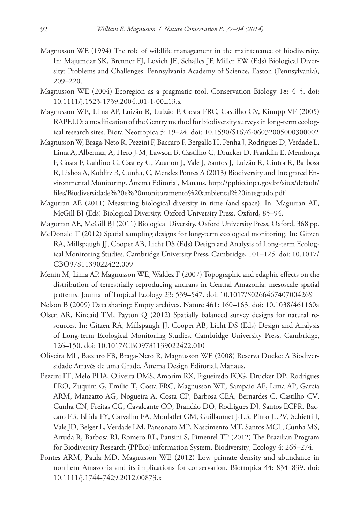- Magnusson WE (1994) The role of wildlife management in the maintenance of biodiversity. In: Majumdar SK, Brenner FJ, Lovich JE, Schalles JF, Miller EW (Eds) Biological Diversity: Problems and Challenges. Pennsylvania Academy of Science, Easton (Pennsylvania), 209–220.
- Magnusson WE (2004) Ecoregion as a pragmatic tool. Conservation Biology 18: 4–5. [doi:](http://dx.doi.org/10.1111/j.1523-1739.2004.t01-1-00L13.x) [10.1111/j.1523-1739.2004.t01-1-00L13.x](http://dx.doi.org/10.1111/j.1523-1739.2004.t01-1-00L13.x)
- Magnusson WE, Lima AP, Luizão R, Luizão F, Costa FRC, Castilho CV, Kinupp VF (2005) RAPELD: a modification of the Gentry method for biodiversity surveys in long-term ecological research sites. Biota Neotropica 5: 19–24. [doi: 10.1590/S1676-06032005000300002](http://dx.doi.org/10.1590/S1676-06032005000300002)
- Magnusson W, Braga-Neto R, Pezzini F, Baccaro F, Bergallo H, Penha J, Rodrigues D, Verdade L, Lima A, Albernaz, A, Hero J-M, Lawson B, Castilho C, Drucker D, Franklin E, Mendonça F, Costa F, Galdino G, Castley G, Zuanon J, Vale J, Santos J, Luizão R, Cintra R, Barbosa R, Lisboa A, Koblitz R, Cunha, C, Mendes Pontes A (2013) Biodiversity and Integrated Environmental Monitoring. Áttema Editorial, Manaus. [http://ppbio.inpa.gov.br/sites/default/](http://ppbio.inpa.gov.br/sites/default/files/Biodiversidade%20e%20monitoramento%20ambiental%20integrado.pdf) [files/Biodiversidade%20e%20monitoramento%20ambiental%20integrado.pdf](http://ppbio.inpa.gov.br/sites/default/files/Biodiversidade%20e%20monitoramento%20ambiental%20integrado.pdf)
- Magurran AE (2011) Measuring biological diversity in time (and space). In: Magurran AE, McGill BJ (Eds) Biological Diversity. Oxford University Press, Oxford, 85–94.
- Magurran AE, McGill BJ (2011) Biological Diversity. Oxford University Press, Oxford, 368 pp.
- McDonald T (2012) Spatial sampling designs for long-term ecological monitoring. In: Gitzen RA, Millspaugh JJ, Cooper AB, Licht DS (Eds) Design and Analysis of Long-term Ecological Monitoring Studies. Cambridge University Press, Cambridge, 101–125. [doi: 10.1017/](http://dx.doi.org/10.1017/CBO9781139022422.009) [CBO9781139022422.009](http://dx.doi.org/10.1017/CBO9781139022422.009)
- Menin M, Lima AP, Magnusson WE, Waldez F (2007) Topographic and edaphic effects on the distribution of terrestrially reproducing anurans in Central Amazonia: mesoscale spatial patterns. Journal of Tropical Ecology 23: 539–547. [doi: 10.1017/S0266467407004269](http://dx.doi.org/10.1017/S0266467407004269)
- Nelson B (2009) Data sharing: Empty archives. Nature 461: 160–163. [doi: 10.1038/461160a](http://dx.doi.org/10.1038/461160a)
- Olsen AR, Kincaid TM, Payton Q (2012) Spatially balanced survey designs for natural resources. In: Gitzen RA, Millspaugh JJ, Cooper AB, Licht DS (Eds) Design and Analysis of Long-term Ecological Monitoring Studies. Cambridge University Press, Cambridge, 126–150. [doi: 10.1017/CBO9781139022422.010](http://dx.doi.org/10.1017/CBO9781139022422.010)
- Oliveira ML, Baccaro FB, Braga-Neto R, Magnusson WE (2008) Reserva Ducke: A Biodiversidade Através de uma Grade. Áttema Design Editorial, Manaus.
- Pezzini FF, Melo PHA, Oliveira DMS, Amorim RX, Figueiredo FOG, Drucker DP, Rodrigues FRO, Zuquim G, Emilio T, Costa FRC, Magnusson WE, Sampaio AF, Lima AP, Garcia ARM, Manzatto AG, Nogueira A, Costa CP, Barbosa CEA, Bernardes C, Castilho CV, Cunha CN, Freitas CG, Cavalcante CO, Brandão DO, Rodrigues DJ, Santos ECPR, Baccaro FB, Ishida FY, Carvalho FA, Moulatlet GM, Guillaumet J-LB, Pinto JLPV, Schietti J, Vale JD, Belger L, Verdade LM, Pansonato MP, Nascimento MT, Santos MCL, Cunha MS, Arruda R, Barbosa RI, Romero RL, Pansini S, Pimentel TP (2012) The Brazilian Program for Biodiversity Research (PPBio) information System. Biodiversity, Ecology 4: 265–274.
- Pontes ARM, Paula MD, Magnusson WE (2012) Low primate density and abundance in northern Amazonia and its implications for conservation. Biotropica 44: 834–839. [doi:](http://dx.doi.org/10.1111/j.1744-7429.2012.00873.x) [10.1111/j.1744-7429.2012.00873.x](http://dx.doi.org/10.1111/j.1744-7429.2012.00873.x)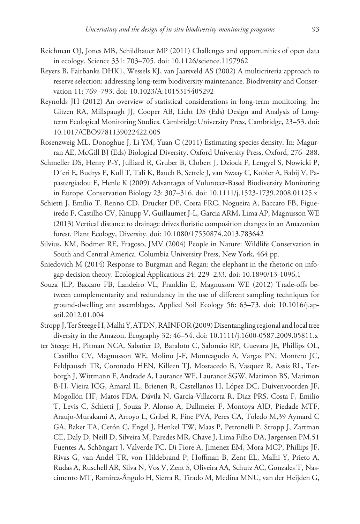- Reichman OJ, Jones MB, Schildhauer MP (2011) Challenges and opportunities of open data in ecology. Science 331: 703–705. [doi: 10.1126/science.1197962](http://dx.doi.org/10.1126/science.1197962)
- Reyers B, Fairbanks DHK1, Wessels KJ, van Jaarsveld AS (2002) A multicriteria approach to reserve selection: addressing long-term biodiversity maintenance. Biodiversity and Conservation 11: 769–793. [doi: 10.1023/A:1015315405292](http://dx.doi.org/10.1023/A:1015315405292)
- Reynolds JH (2012) An overview of statistical considerations in long-term monitoring. In: Gitzen RA, Millspaugh JJ, Cooper AB, Licht DS (Eds) Design and Analysis of Longterm Ecological Monitoring Studies. Cambridge University Press, Cambridge, 23–53. [doi:](http://dx.doi.org/10.1017/CBO9781139022422.005) [10.1017/CBO9781139022422.005](http://dx.doi.org/10.1017/CBO9781139022422.005)
- Rosenzweig ML, Donoghue J, Li YM, Yuan C (2011) Estimating species density. In: Magurran AE, McGill BJ (Eds) Biological Diversity. Oxford University Press, Oxford, 276–288.
- Schmeller DS, Henry P-Y, Julliard R, Gruber B, Clobert J, Dziock F, Lengyel S, Nowicki P, D´eri E, Budrys E, Kull T, Tali K, Bauch B, Settele J, van Swaay C, Kobler A, Babij V, Papastergiadou E, Henle K (2009) Advantages of Volunteer-Based Biodiversity Monitoring in Europe. Conservation Biology 23: 307–316. [doi: 10.1111/j.1523-1739.2008.01125.x](http://dx.doi.org/10.1111/j.1523-1739.2008.01125.x)
- Schietti J, Emílio T, Renno CD, Drucker DP, Costa FRC, Nogueira A, Baccaro FB, Figueiredo F, Castilho CV, Kinupp V, Guillaumet J-L, Garcia ARM, Lima AP, Magnusson WE (2013) Vertical distance to drainage drives floristic composition changes in an Amazonian forest. Plant Ecology, Diversity. [doi: 10.1080/17550874.2013.783642](http://dx.doi.org/10.1080/17550874.2013.783642)
- Silvius, KM, Bodmer RE, Fragoso, JMV (2004) People in Nature: Wildlife Conservation in South and Central America. Columbia University Press, New York, 464 pp.
- Sniedovich M (2014) Response to Burgman and Regan: the elephant in the rhetoric on infogap decision theory. Ecological Applications 24: 229–233. [doi: 10.1890/13-1096.1](http://dx.doi.org/10.1890/13-1096.1)
- Souza JLP, Baccaro FB, Landeiro VL, Franklin E, Magnusson WE (2012) Trade-offs between complementarity and redundancy in the use of different sampling techniques for ground-dwelling ant assemblages. Applied Soil Ecology 56: 63–73. [doi: 10.1016/j.ap](http://dx.doi.org/10.1016/j.apsoil.2012.01.004)[soil.2012.01.004](http://dx.doi.org/10.1016/j.apsoil.2012.01.004)
- Stropp J, Ter Steege H, Malhi Y, ATDN, RAINFOR (2009) Disentangling regional and local tree diversity in the Amazon. Ecography 32: 46–54. [doi: 10.1111/j.1600-0587.2009.05811.x](http://dx.doi.org/10.1111/j.1600-0587.2009.05811.x)
- ter Steege H, Pitman NCA, Sabatier D, Baraloto C, Salomão RP, Guevara JE, Phillips OL, Castilho CV, Magnusson WE, Molino J-F, Monteagudo A, Vargas PN, Montero JC, Feldpausch TR, Coronado HEN, Killeen TJ, Mostacedo B, Vasquez R, Assis RL, Terborgh J, Wittmann F, Andrade A, Laurance WF, Laurance SGW, Marimon BS, Marimon B-H, Vieira ICG, Amaral IL, Brienen R, Castellanos H, López DC, Duivenvoorden JF, Mogollón HF, Matos FDA, Dávila N, García-Villacorta R, Diaz PRS, Costa F, Emilio T, Levis C, Schietti J, Souza P, Alonso A, Dallmeier F, Montoya AJD, Piedade MTF, Araujo-Murakami A, Arroyo L, Gribel R, Fine PVA, Peres CA, Toledo M,39 Aymard C GA, Baker TA, Cerón C, Engel J, Henkel TW, Maas P, Petronelli P, Stropp J, Zartman CE, Daly D, Neill D, Silveira M, Paredes MR, Chave J, Lima Filho DA, Jørgensen PM,51 Fuentes A, Schöngart J, Valverde FC, Di Fiore A, Jimenez EM, Mora MCP, Phillips JF, Rivas G, van Andel TR, von Hildebrand P, Hoffman B, Zent EL, Malhi Y, Prieto A, Rudas A, Ruschell AR, Silva N, Vos V, Zent S, Oliveira AA, Schutz AC, Gonzales T, Nascimento MT, Ramirez-Ângulo H, Sierra R, Tirado M, Medina MNU, van der Heijden G,